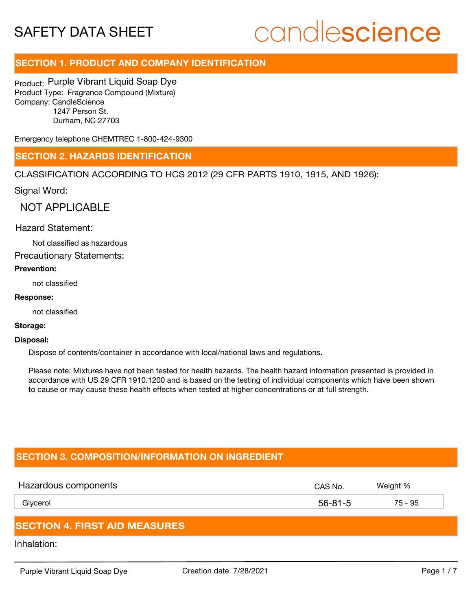## candlescience

### **SECTION 1. PRODUCT AND COMPANY IDENTIFICATION**

Product: Purple Vibrant Liquid Soap Dye Product Type: Fragrance Compound (Mixture) Company: CandleScience 1247 Person St. Durham, NC 27703

Emergency telephone CHEMTREC 1-800-424-9300

### **SECTION 2. HAZARDS IDENTIFICATION**

CLASSIFICATION ACCORDING TO HCS 2012 (29 CFR PARTS 1910, 1915, AND 1926):

Signal Word:

NOT APPLICABLE

### Hazard Statement:

Not classified as hazardous

Precautionary Statements:

### **Prevention:**

not classified

### **Response:**

not classified

### **Storage:**

#### **Disposal:**

Dispose of contents/container in accordance with local/national laws and regulations.

Please note: Mixtures have not been tested for health hazards. The health hazard information presented is provided in accordance with US 29 CFR 1910.1200 and is based on the testing of individual components which have been shown to cause or may cause these health effects when tested at higher concentrations or at full strength.

### **SECTION 3. COMPOSITION/INFORMATION ON INGREDIENT**

| Hazardous components | CAS No.       | Weight % |  |
|----------------------|---------------|----------|--|
| Glycerol             | $56 - 81 - 5$ | 75 - 95  |  |
|                      |               |          |  |

### **SECTION 4. FIRST AID MEASURES**

Inhalation: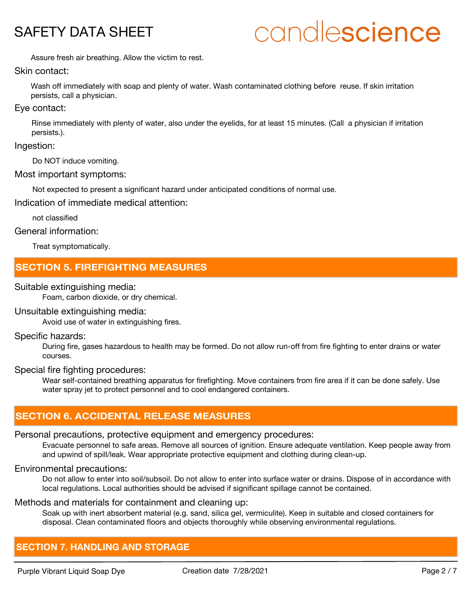## candlescience

Assure fresh air breathing. Allow the victim to rest.

### Skin contact:

Wash off immediately with soap and plenty of water. Wash contaminated clothing before reuse. If skin irritation persists, call a physician.

### Eye contact:

Rinse immediately with plenty of water, also under the eyelids, for at least 15 minutes. (Call a physician if irritation persists.).

### Ingestion:

Do NOT induce vomiting.

### Most important symptoms:

Not expected to present a significant hazard under anticipated conditions of normal use.

Indication of immediate medical attention:

not classified

### General information:

Treat symptomatically.

### **SECTION 5. FIREFIGHTING MEASURES**

### Suitable extinguishing media:

Foam, carbon dioxide, or dry chemical.

### Unsuitable extinguishing media:

Avoid use of water in extinguishing fires.

### Specific hazards:

During fire, gases hazardous to health may be formed. Do not allow run-off from fire fighting to enter drains or water courses.

### Special fire fighting procedures:

Wear self-contained breathing apparatus for firefighting. Move containers from fire area if it can be done safely. Use water spray jet to protect personnel and to cool endangered containers.

### **SECTION 6. ACCIDENTAL RELEASE MEASURES**

### Personal precautions, protective equipment and emergency procedures:

Evacuate personnel to safe areas. Remove all sources of ignition. Ensure adequate ventilation. Keep people away from and upwind of spill/leak. Wear appropriate protective equipment and clothing during clean-up.

### Environmental precautions:

Do not allow to enter into soil/subsoil. Do not allow to enter into surface water or drains. Dispose of in accordance with local regulations. Local authorities should be advised if significant spillage cannot be contained.

### Methods and materials for containment and cleaning up:

Soak up with inert absorbent material (e.g. sand, silica gel, vermiculite). Keep in suitable and closed containers for disposal. Clean contaminated floors and objects thoroughly while observing environmental regulations.

### **SECTION 7. HANDLING AND STORAGE**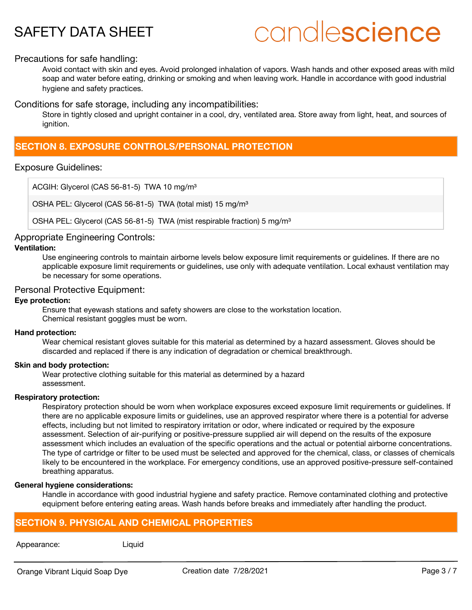## candlescience

### Precautions for safe handling:

Avoid contact with skin and eyes. Avoid prolonged inhalation of vapors. Wash hands and other exposed areas with mild soap and water before eating, drinking or smoking and when leaving work. Handle in accordance with good industrial hygiene and safety practices.

Conditions for safe storage, including any incompatibilities:

Store in tightly closed and upright container in a cool, dry, ventilated area. Store away from light, heat, and sources of ignition.

### **SECTION 8. EXPOSURE CONTROLS/PERSONAL PROTECTION**

### Exposure Guidelines:

ACGIH: Glycerol (CAS 56-81-5) TWA 10 mg/m<sup>3</sup>

OSHA PEL: Glycerol (CAS 56-81-5) TWA (total mist) 15 mg/m<sup>3</sup>

OSHA PEL: Glycerol (CAS 56-81-5) TWA (mist respirable fraction) 5 mg/m<sup>3</sup>

### Appropriate Engineering Controls:

### **Ventilation:**

Use engineering controls to maintain airborne levels below exposure limit requirements or guidelines. If there are no applicable exposure limit requirements or guidelines, use only with adequate ventilation. Local exhaust ventilation may be necessary for some operations.

### Personal Protective Equipment:

### **Eye protection:**

Ensure that eyewash stations and safety showers are close to the workstation location. Chemical resistant goggles must be worn.

### **Hand protection:**

Wear chemical resistant gloves suitable for this material as determined by a hazard assessment. Gloves should be discarded and replaced if there is any indication of degradation or chemical breakthrough.

### **Skin and body protection:**

Wear protective clothing suitable for this material as determined by a hazard assessment.

### **Respiratory protection:**

Respiratory protection should be worn when workplace exposures exceed exposure limit requirements or guidelines. If there are no applicable exposure limits or guidelines, use an approved respirator where there is a potential for adverse effects, including but not limited to respiratory irritation or odor, where indicated or required by the exposure assessment. Selection of air-purifying or positive-pressure supplied air will depend on the results of the exposure assessment which includes an evaluation of the specific operations and the actual or potential airborne concentrations. The type of cartridge or filter to be used must be selected and approved for the chemical, class, or classes of chemicals likely to be encountered in the workplace. For emergency conditions, use an approved positive-pressure self-contained breathing apparatus.

### **General hygiene considerations:**

Handle in accordance with good industrial hygiene and safety practice. Remove contaminated clothing and protective equipment before entering eating areas. Wash hands before breaks and immediately after handling the product.

### **SECTION 9. PHYSICAL AND CHEMICAL PROPERTIES**

### Appearance: Liquid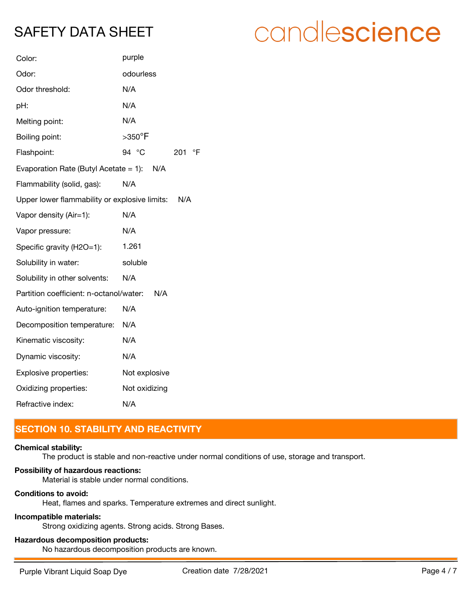| Color:                                        | purple                       |  |
|-----------------------------------------------|------------------------------|--|
| Odor:                                         | odourless                    |  |
| Odor threshold:                               | N/A                          |  |
| pH:                                           | N/A                          |  |
| Melting point:                                | N/A                          |  |
| Boiling point:                                | $>$ 350 $^{\circ}$ F         |  |
| Flashpoint:                                   | 94 °C<br>$\mathsf{P}$<br>201 |  |
| Evaporation Rate (Butyl Acetate = 1): $N/A$   |                              |  |
| Flammability (solid, gas):                    | N/A                          |  |
| Upper lower flammability or explosive limits: | N/A                          |  |
| Vapor density (Air=1):                        | N/A                          |  |
| Vapor pressure:                               | N/A                          |  |
| Specific gravity (H2O=1):                     | 1.261                        |  |
| Solubility in water:                          | soluble                      |  |
| Solubility in other solvents:                 | N/A                          |  |
| Partition coefficient: n-octanol/water:       | N/A                          |  |
| Auto-ignition temperature:                    | N/A                          |  |
| Decomposition temperature:                    | N/A                          |  |
| Kinematic viscosity:                          | N/A                          |  |
| Dynamic viscosity:                            | N/A                          |  |
| Explosive properties:                         | Not explosive                |  |
| Oxidizing properties:                         | Not oxidizing                |  |
| Refractive index:                             | N/A                          |  |

### **SECTION 10. STABILITY AND REACTIVITY**

### **Chemical stability:**

The product is stable and non-reactive under normal conditions of use, storage and transport.

### **Possibility of hazardous reactions:**

Material is stable under normal conditions.

### **Conditions to avoid:**

Heat, flames and sparks. Temperature extremes and direct sunlight.

### **Incompatible materials:**

Strong oxidizing agents. Strong acids. Strong Bases.

### **Hazardous decomposition products:**

No hazardous decomposition products are known.

# candlescience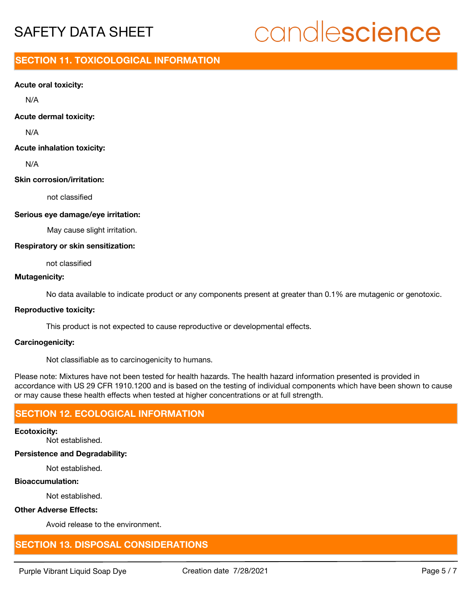## candlescience

### **SECTION 11. TOXICOLOGICAL INFORMATION**

### **Acute oral toxicity:**

N/A

### **Acute dermal toxicity:**

N/A

### **Acute inhalation toxicity:**

N/A

### **Skin corrosion/irritation:**

not classified

### **Serious eye damage/eye irritation:**

May cause slight irritation.

### **Respiratory or skin sensitization:**

not classified

### **Mutagenicity:**

No data available to indicate product or any components present at greater than 0.1% are mutagenic or genotoxic.

### **Reproductive toxicity:**

This product is not expected to cause reproductive or developmental effects.

### **Carcinogenicity:**

Not classifiable as to carcinogenicity to humans.

Please note: Mixtures have not been tested for health hazards. The health hazard information presented is provided in accordance with US 29 CFR 1910.1200 and is based on the testing of individual components which have been shown to cause or may cause these health effects when tested at higher concentrations or at full strength.

### **SECTION 12. ECOLOGICAL INFORMATION**

### **Ecotoxicity:**

Not established.

### **Persistence and Degradability:**

Not established.

### **Bioaccumulation:**

Not established.

### **Other Adverse Effects:**

Avoid release to the environment.

### **SECTION 13. DISPOSAL CONSIDERATIONS**